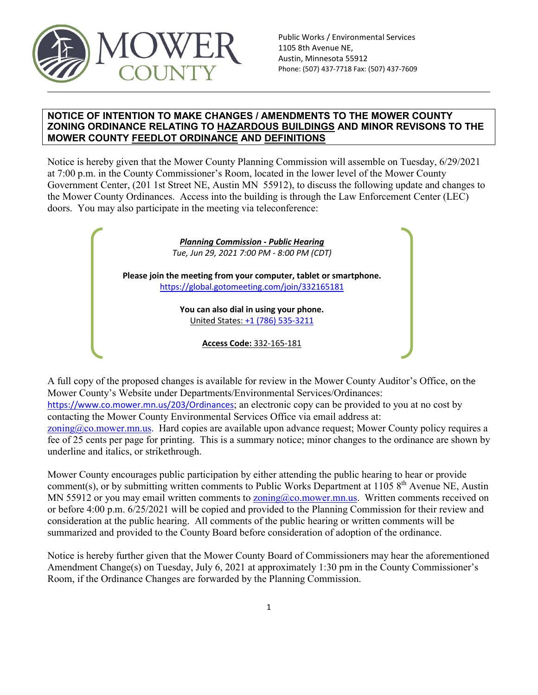

#### **NOTICE OF INTENTION TO MAKE CHANGES / AMENDMENTS TO THE MOWER COUNTY ZONING ORDINANCE RELATING TO HAZARDOUS BUILDINGS AND MINOR REVISONS TO THE MOWER COUNTY FEEDLOT ORDINANCE AND DEFINITIONS**

Notice is hereby given that the Mower County Planning Commission will assemble on Tuesday, 6/29/2021 at 7:00 p.m. in the County Commissioner's Room, located in the lower level of the Mower County Government Center, (201 1st Street NE, Austin MN 55912), to discuss the following update and changes to the Mower County Ordinances. Access into the building is through the Law Enforcement Center (LEC) doors. You may also participate in the meeting via teleconference:

> *Planning Commission - Public Hearing Tue, Jun 29, 2021 7:00 PM - 8:00 PM (CDT)* **Please join the meeting from your computer, tablet or smartphone.** <https://global.gotomeeting.com/join/332165181>

> > **You can also dial in using your phone.** United States: [+1 \(786\) 535-3211](tel:+17865353211,,332165181)

> > > **Access Code:** 332-165-181

A full copy of the proposed changes is available for review in the Mower County Auditor's Office, on the Mower County's Website under Departments/Environmental Services/Ordinances: <https://www.co.mower.mn.us/203/Ordinances>; an electronic copy can be provided to you at no cost by contacting the Mower County Environmental Services Office via email address at: [zoning@co.mower.mn.us.](mailto:zoning@co.mower.mn.us) Hard copies are available upon advance request; Mower County policy requires a fee of 25 cents per page for printing. This is a summary notice; minor changes to the ordinance are shown by underline and italics, or strikethrough.

Mower County encourages public participation by either attending the public hearing to hear or provide comment(s), or by submitting written comments to Public Works Department at 1105 8<sup>th</sup> Avenue NE, Austin MN 55912 or you may email written comments to  $\overline{z}$  oning  $\alpha$  co.mower.mn.us. Written comments received on or before 4:00 p.m. 6/25/2021 will be copied and provided to the Planning Commission for their review and consideration at the public hearing. All comments of the public hearing or written comments will be summarized and provided to the County Board before consideration of adoption of the ordinance.

Notice is hereby further given that the Mower County Board of Commissioners may hear the aforementioned Amendment Change(s) on Tuesday, July 6, 2021 at approximately 1:30 pm in the County Commissioner's Room, if the Ordinance Changes are forwarded by the Planning Commission.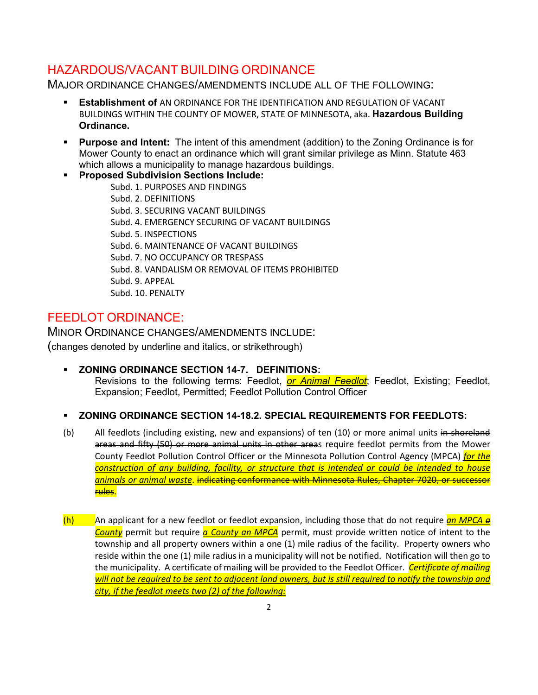## HAZARDOUS/VACANT BUILDING ORDINANCE

MAJOR ORDINANCE CHANGES/AMENDMENTS INCLUDE ALL OF THE FOLLOWING:

- **Establishment of** AN ORDINANCE FOR THE IDENTIFICATION AND REGULATION OF VACANT BUILDINGS WITHIN THE COUNTY OF MOWER, STATE OF MINNESOTA, aka. **Hazardous Building Ordinance.**
- **Purpose and Intent:** The intent of this amendment (addition) to the Zoning Ordinance is for Mower County to enact an ordinance which will grant similar privilege as Minn. Statute 463 which allows a municipality to manage hazardous buildings.
- **Proposed Subdivision Sections Include:** Subd. 1. PURPOSES AND FINDINGS Subd. 2. DEFINITIONS Subd. 3. SECURING VACANT BUILDINGS Subd. 4. EMERGENCY SECURING OF VACANT BUILDINGS Subd. 5. INSPECTIONS Subd. 6. MAINTENANCE OF VACANT BUILDINGS Subd. 7. NO OCCUPANCY OR TRESPASS Subd. 8. VANDALISM OR REMOVAL OF ITEMS PROHIBITED Subd. 9. APPEAL Subd. 10. PENALTY

## FEEDLOT ORDINANCE:

MINOR ORDINANCE CHANGES/AMENDMENTS INCLUDE: (changes denoted by underline and italics, or strikethrough)

 **ZONING ORDINANCE SECTION 14-7. DEFINITIONS:** Revisions to the following terms: Feedlot, *or Animal Feedlot*; Feedlot, Existing; Feedlot, Expansion; Feedlot, Permitted; Feedlot Pollution Control Officer

### **ZONING ORDINANCE SECTION 14-18.2. SPECIAL REQUIREMENTS FOR FEEDLOTS:**

- (b) All feedlots (including existing, new and expansions) of ten (10) or more animal units in shoreland areas and fifty (50) or more animal units in other areas require feedlot permits from the Mower County Feedlot Pollution Control Officer or the Minnesota Pollution Control Agency (MPCA) *for the construction of any building, facility, or structure that is intended or could be intended to house animals or animal waste*. indicating conformance with Minnesota Rules, Chapter 7020, or successor rules.
- (h) An applicant for a new feedlot or feedlot expansion, including those that do not require *an MPCA a County* permit but require *a County an MPCA* permit, must provide written notice of intent to the township and all property owners within a one (1) mile radius of the facility. Property owners who reside within the one (1) mile radius in a municipality will not be notified. Notification will then go to the municipality. A certificate of mailing will be provided to the Feedlot Officer. *Certificate of mailing will not be required to be sent to adjacent land owners, but is still required to notify the township and city, if the feedlot meets two (2) of the following:*